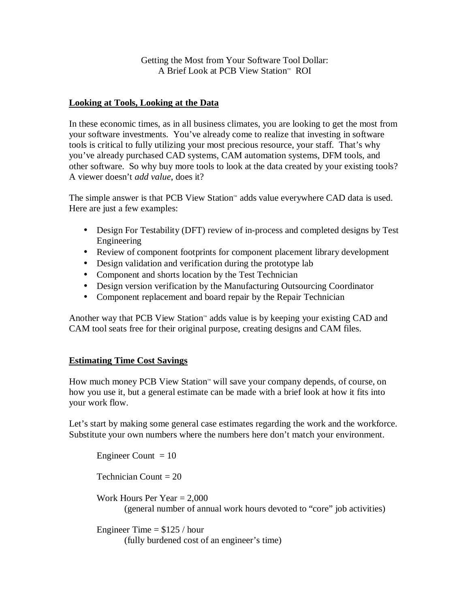Getting the Most from Your Software Tool Dollar: A Brief Look at PCB View Station™ ROI

## **Looking at Tools, Looking at the Data**

In these economic times, as in all business climates, you are looking to get the most from your software investments. You've already come to realize that investing in software tools is critical to fully utilizing your most precious resource, your staff. That's why you've already purchased CAD systems, CAM automation systems, DFM tools, and other software. So why buy more tools to look at the data created by your existing tools? A viewer doesn't *add value*, does it?

The simple answer is that PCB View Station™ adds value everywhere CAD data is used. Here are just a few examples:

- Design For Testability (DFT) review of in-process and completed designs by Test Engineering
- Review of component footprints for component placement library development
- Design validation and verification during the prototype lab
- Component and shorts location by the Test Technician
- Design version verification by the Manufacturing Outsourcing Coordinator
- Component replacement and board repair by the Repair Technician

Another way that PCB View Station™ adds value is by keeping your existing CAD and CAM tool seats free for their original purpose, creating designs and CAM files.

## **Estimating Time Cost Savings**

How much money PCB View Station™ will save your company depends, of course, on how you use it, but a general estimate can be made with a brief look at how it fits into your work flow.

Let's start by making some general case estimates regarding the work and the workforce. Substitute your own numbers where the numbers here don't match your environment.

Engineer Count  $= 10$ 

Technician Count = 20

Work Hours Per Year  $= 2,000$ (general number of annual work hours devoted to "core" job activities)

Engineer Time  $= $125 / hour$ (fully burdened cost of an engineer's time)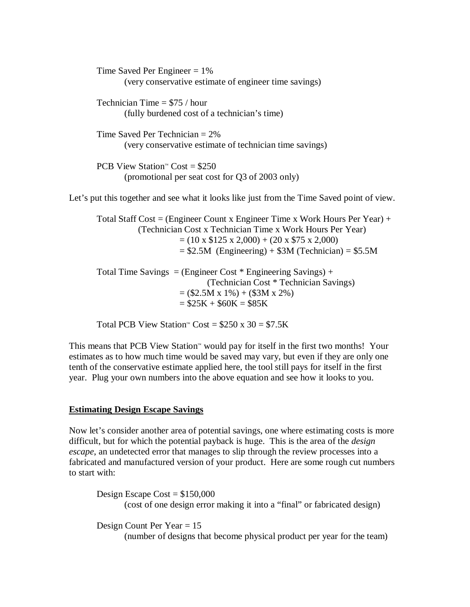Time Saved Per Engineer  $= 1\%$  (very conservative estimate of engineer time savings) Technician Time  $= $75 / hour$ (fully burdened cost of a technician's time) Time Saved Per Technician = 2% (very conservative estimate of technician time savings) PCB View Station<sup>™</sup> Cost = \$250 (promotional per seat cost for Q3 of 2003 only) Let's put this together and see what it looks like just from the Time Saved point of view. Total Staff Cost = (Engineer Count x Engineer Time x Work Hours Per Year) + (Technician Cost x Technician Time x Work Hours Per Year)  $= (10 \times \$125 \times 2,000) + (20 \times \$75 \times 2,000)$  $= $2.5M$  (Engineering) + \$3M (Technician) = \$5.5M Total Time Savings = (Engineer Cost  $*$  Engineering Savings) +

(Technician Cost \* Technician Savings)  $= (\$2.5M x 1\%) + (\$3M x 2\%)$  $= $25K + $60K = $85K$ 

Total PCB View Station<sup>™</sup> Cost =  $$250 \times 30 = $7.5K$ 

This means that PCB View Station™ would pay for itself in the first two months! Your estimates as to how much time would be saved may vary, but even if they are only one tenth of the conservative estimate applied here, the tool still pays for itself in the first year. Plug your own numbers into the above equation and see how it looks to you.

## **Estimating Design Escape Savings**

Now let's consider another area of potential savings, one where estimating costs is more difficult, but for which the potential payback is huge. This is the area of the *design escape*, an undetected error that manages to slip through the review processes into a fabricated and manufactured version of your product. Here are some rough cut numbers to start with:

Design Escape Cost =  $$150,000$ (cost of one design error making it into a "final" or fabricated design)

Design Count Per Year = 15

(number of designs that become physical product per year for the team)